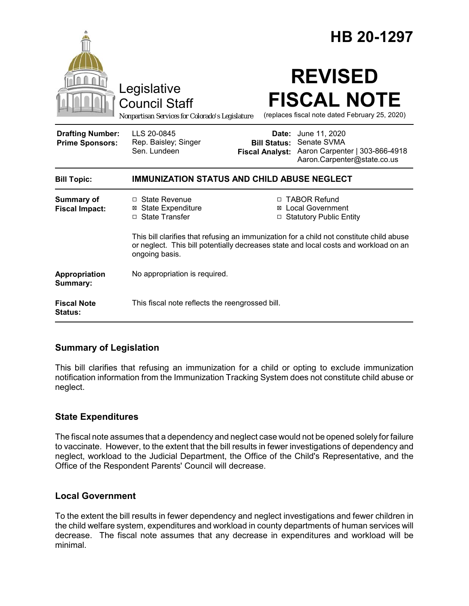|                                                   | Legislative<br><b>Council Staff</b><br>Nonpartisan Services for Colorado's Legislature                                                                                                             |                     | HB 20-1297<br><b>REVISED</b><br><b>FISCAL NOTE</b><br>(replaces fiscal note dated February 25, 2020)                       |
|---------------------------------------------------|----------------------------------------------------------------------------------------------------------------------------------------------------------------------------------------------------|---------------------|----------------------------------------------------------------------------------------------------------------------------|
| <b>Drafting Number:</b><br><b>Prime Sponsors:</b> | LLS 20-0845<br>Rep. Baisley; Singer<br>Sen. Lundeen                                                                                                                                                | <b>Bill Status:</b> | <b>Date:</b> June 11, 2020<br>Senate SVMA<br>Fiscal Analyst: Aaron Carpenter   303-866-4918<br>Aaron.Carpenter@state.co.us |
| <b>Bill Topic:</b>                                | <b>IMMUNIZATION STATUS AND CHILD ABUSE NEGLECT</b>                                                                                                                                                 |                     |                                                                                                                            |
| <b>Summary of</b><br><b>Fiscal Impact:</b>        | □ State Revenue<br><b>⊠</b> State Expenditure<br>□ State Transfer                                                                                                                                  |                     | □ TABOR Refund<br><b>⊠</b> Local Government<br><b>Statutory Public Entity</b>                                              |
|                                                   | This bill clarifies that refusing an immunization for a child not constitute child abuse<br>or neglect. This bill potentially decreases state and local costs and workload on an<br>ongoing basis. |                     |                                                                                                                            |
| Appropriation<br>Summary:                         | No appropriation is required.                                                                                                                                                                      |                     |                                                                                                                            |
| <b>Fiscal Note</b><br><b>Status:</b>              | This fiscal note reflects the reengrossed bill.                                                                                                                                                    |                     |                                                                                                                            |

### **Summary of Legislation**

This bill clarifies that refusing an immunization for a child or opting to exclude immunization notification information from the Immunization Tracking System does not constitute child abuse or neglect.

### **State Expenditures**

The fiscal note assumes that a dependency and neglect case would not be opened solely for failure to vaccinate. However, to the extent that the bill results in fewer investigations of dependency and neglect, workload to the Judicial Department, the Office of the Child's Representative, and the Office of the Respondent Parents' Council will decrease.

### **Local Government**

To the extent the bill results in fewer dependency and neglect investigations and fewer children in the child welfare system, expenditures and workload in county departments of human services will decrease. The fiscal note assumes that any decrease in expenditures and workload will be minimal.